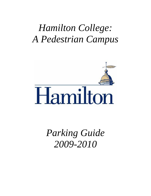# *Hamilton College: A Pedestrian Campus*



*Parking Guide 2009-2010*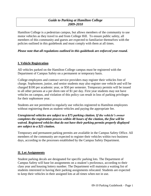#### *Guide to Parking at Hamilton College 2009-2010*

Hamilton College is a pedestrian campus, but allows members of the community to use motor vehicles as they travel to and from College Hill. To ensure public safety, all members of this community and guests are expected to familiarize themselves with the policies outlined in this guidebook and must comply with them at all times.

#### *Please note that all regulations outlined in this guidebook are enforced year-round.*

#### **I. Vehicle Registration**

All vehicles parked on the Hamilton College campus must be registered with the Department of Campus Safety on a permanent or temporary basis.

College employees and contract service providers may register their vehicles free of charge. Sophomore, junior, and senior students may also register one vehicle and will be charged \$100 per academic year, or \$50 per semester. Temporary permits will be issued to all other persons at a per diem rate of \$1 per day. First year students may not have vehicles on campus, and violation of this policy can result in loss of parking privileges for their sophomore year.

Students are not permitted to regularly use vehicles registered to Hamilton employees without registering them as student vehicles and paying the appropriate fee.

#### *Unregistered vehicles are subject to a \$75 parking citation. If the vehicle's owner completes the registration process within 48 hours of the citation, the fine will be waived. Registered vehicles that do not have their parking permits properly displayed are subject to a \$25 citation.*

Temporary and permanent parking permits are available in the Campus Safety Office. All members of the community are expected to register their vehicles within two business days, according to the processes established by the Campus Safety Department.

#### **II. Lot Assignments**

Student parking decals are designated for specific parking lots. The Department of Campus Safety will base lot assignments on a student's preference, according to their class year and housing lottery number. The Department will maintain a waiting list of students interested in having their parking assignments relocated. Students are expected to keep their vehicles in their assigned lots at all times when not in use.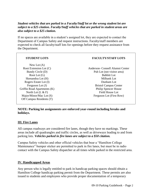#### *Student vehicles that are parked in a Faculty/Staff lot or the wrong student lot are subject to a \$25 citation. Faculty/Staff vehicles that are parked in student areas are also subject to a \$25 citation.*

If no spaces are available in a student's assigned lot, they are expected to contact the Department of Campus Safety and request instructions. Faculty/staff members are expected to check all faculty/staff lots for openings before they request assistance from the Department.

| <b>STUDENT LOTS</b>         | <b>FACULTY/STAFF LOTS</b>       |
|-----------------------------|---------------------------------|
| New Lot $(A)$               |                                 |
| Root Extension Lot $(C)$    | Anderson- Connell Alumni Center |
| Bundy Circle (D)            | Pub Lot (not visitor area)      |
| Root Lot $(G)$              | <b>Babbitt Lot</b>              |
| Skenandoa Lot (H)           | Milbank Lot                     |
| Rogers Estate Lot (I)       | Dunham Lot                      |
| Ferguson Lot $(J)$          | <b>Bristol Campus Center</b>    |
| Griffin Road Apartments (K) | <b>Philip Spencer House</b>     |
| North Lot $(L & F)$         | <b>Field House Lot</b>          |
| Major/Minor/Mac Lot (S)     | Ferguson Lot (First Row)        |
| Off Campus Residents (T)    |                                 |

#### **NOTE: Parking lot assignments are enforced year-round including breaks and holidays.**

#### **III. Fire Lanes**

All campus roadways are considered fire lanes, though they have no markings. These areas include all quadrangles and traffic circles, as well as driveways leading to and from parking lots. *Vehicles parked in fire lanes are subject to a \$50 citation.*

Campus Safety vehicles and other official vehicles that bear a "Hamilton College Maintenance" bumper sticker are permitted to park in fire lanes, but must be in radio contact with the Campus Safety dispatcher at all times while parked in the restricted area.

#### **IV. Handicapped Areas**

Any person who is legally entitled to park in handicap parking spaces should obtain a Hamilton College handicap parking permit from the Department. These permits are also issued to students and employees who provide proper documentation of a temporary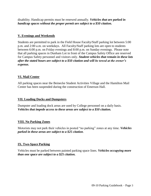disability. Handicap permits must be renewed annually. *Vehicles that are parked in handicap spaces without the proper permit are subject to a \$50 citation.*

#### **V. Evenings and Weekends**

Students are permitted to park in the Field House Faculty/Staff parking lot between 5:00 p.m. and 2:00 a.m. on weekdays. All Faculty/Staff parking lots are open to students between 6:00 p.m. on Friday evenings and 8:00 p.m. on Sunday evenings. Please note that all parking spaces in Dunham Lot in front of the Campus Safety Office are reserved for Campus Safety personnel and visitors only. *Student vehicles that remain in these lots after the stated hours are subject to a \$50 citation and will be towed at the owner's expense.* 

#### **VI. Mail Center**

All parking spaces near the Beinecke Student Activities Village and the Hamilton Mail Center has been suspended during the construction of Emerson Hall.

#### **VII. Loading Docks and Dumpsters**

Dumpster and loading dock areas are used by College personnel on a daily basis. *Vehicles that impede access to these areas are subject to a \$50 citation.*

#### **VIII. No Parking Zones**

Motorists may not park their vehicles in posted "no parking" zones at any time. *Vehicles parked in these areas are subject to a \$25 citation*.

#### **IX. Two-Space Parking**

Vehicles must be parked between painted parking space lines. *Vehicles occupying more than one space are subject to a \$25 citation.*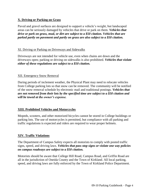#### **X. Driving or Parking on Grass**

Paved and gravel surfaces are designed to support a vehicle's weight, but landscaped areas can be seriously damaged by vehicles that drive or park on them. *Vehicles that drive or park on grass, mud, or dirt are subject to a \$50 citation. Vehicles that are parked partly on pavement and partly on grass are also subject to a \$50 citation.*

#### XI. Driving or Parking on Driveways and Sidewalks

Driveways are not intended for vehicle use, even when chains are down and the driveways open; parking or driving on sidewalks is also prohibited. *Vehicles that violate either of these regulations are subject to a \$50 citation.*

#### XII. Emergency Snow Removal

During periods of inclement weather, the Physical Plant may need to relocate vehicles from College parking lots so that snow can be removed. The community will be notified of the snow removal schedule by electronic mail and traditional postings. *Vehicles that are not removed from their lots by the specified time are subject to a \$50 citation and will be towed at the owner's expense.*

#### **XIII. Prohibited Vehicles and Motorcycles**

Mopeds, scooters, and other motorized bicycles cannot be stored in College buildings or parking lots. The use of motorcycles is permitted, but compliance with all parking and traffic regulations is expected and riders are required to wear proper helmets.

#### **XIV. Traffic Violations**

The Department of Campus Safety expects all motorists to comply with posted traffic signs, speed, and driving laws. *Vehicles that pass stop signs or violate one way policies on campus roadways are subject to a \$50 citation.*

Motorists should be aware that College Hill Road, Campus Road, and Griffin Road are all in the jurisdiction of Oneida County and the Town of Kirkland. All local parking, speed, and driving laws are fully enforced by the Town of Kirkland Police Department.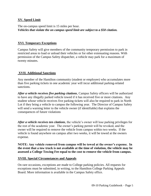#### **XV. Speed Limit**

The on-campus speed limit is 15 miles per hour. *Vehicles that violate the on campus speed limit are subject to a \$50 citation.*

#### **XVI. Temporary Exceptions**

Campus Safety will give members of the community temporary permission to park in restricted areas to load or unload their vehicles or for other extenuating reasons. With permission of the Campus Safety dispatcher, a vehicle may park for a maximum of twenty minutes.

#### **XVII. Additional Sanctions**

Any member of the Hamilton community (student or employee) who accumulates more than five parking tickets in one academic year will incur additional parking-related sanctions.

*After a vehicle receives five parking citations*, Campus Safety officers will be authorized to have any illegally parked vehicle towed if it has received five or more citations. Any student whose vehicle receives five parking tickets will also be required to park in North Lot if they bring a vehicle to campus the following year. The Director of Campus Safety will send a warning letter to the vehicle owner (if identifiable) that explains the consequences of future violations

*After a vehicle receives ten citations*, the vehicle's owner will lose parking privileges for the rest of the academic year. The owner's parking permit will be revoked, and the owner will be required to remove the vehicle from campus within two weeks. If the vehicle is found anywhere on campus after two weeks, it will be towed at the owners expense.

**NOTE: Any vehicle removed from campus will be towed at the owner's expense. In the event that a tow truck is not available at the time of violation, the vehicle may be assessed a College Towing Fee equal to the cost to remove the vehicle from campus.**

#### **XVIII. Special Circumstances and Appeals**

On rare occasions, exceptions are made to College parking policies. All requests for exceptions must be submitted, in writing, to the Hamilton College Parking Appeals Board. More information is available in the Campus Safety office.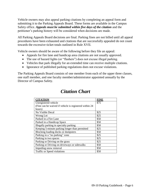Vehicle owners may also appeal parking citations by completing an appeal form and submitting it to the Parking Appeals Board. These forms are available in the Campus Safety office. *Appeals must be submitted within five days of the citation* and the petitioner's parking history will be considered when decisions are made.

All Parking Appeals Board decisions are final. Parking fines are not billed until all appeal procedures have been exhausted and citations that are successfully appealed do not count towards the excessive ticket totals outlined in Rule XVII.

Vehicle owners should be aware of the following before they file an appeal:

- Appeals for fire lane and handicap area citations are not usually approved.
- The use of hazard lights (or "flashers") does not excuse illegal parking.
- Vehicles that park illegally for an extended time can receive multiple citations.
- Ignorance of published parking regulations does not excuse violations.

The Parking Appeals Board consists of one member from each of the upper three classes, one staff member, and one faculty member/administrator appointed annually by the Director of Campus Safety.

| <b>CITATION</b>                                        | <b>FINE</b> |
|--------------------------------------------------------|-------------|
| Unregistered vehicle                                   | \$75        |
| (Fine can be waived if vehicle is registered within 24 |             |
| hours)                                                 |             |
| No Visible Decal                                       | \$25        |
| Wrong Lot                                              | \$25        |
| Parked in a Fire Lane                                  | \$50        |
| Parked in a Handicap Space                             | \$50        |
| Illegally parking in specialty parking                 | \$50        |
| Keeping 5-minute parking longer than permitted         | \$25        |
| Blocking loading docks or dumpsters                    | \$50        |
| Parking in a "no parking" zone                         | \$25        |
| Parking in two spaces                                  | \$25        |
| Parking or Driving on the grass                        | \$25        |
| Parking or Driving on driveways or sidewalks           | \$50        |
| Impeding snow removal                                  | \$50        |
| Traffic or Speed violations                            | \$50        |

### *Citation Chart*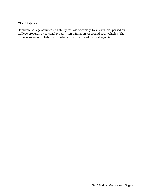#### **XIX. Liability**

Hamilton College assumes no liability for loss or damage to any vehicles parked on College property, or personal property left within, on, or around such vehicles. The College assumes no liability for vehicles that are towed by local agencies.